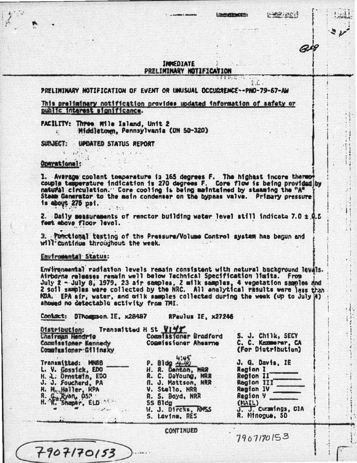## **TABISDIATE** PRELIMINARY NOTIFICATION

PRELIMINARY NOTIFICATION OF EVENT OR UNUSUAL OCCURRENCE--PNO-79-67-AM

This preliminary notification provides updated information of safety or public interest significance.

FACILITY: Three Wile Island, Unit 2 Middletown, Pennsylvania (DN 50-320)

SUBJECT: UPDATED STATUS REPORT

Operational:

 $\epsilon$ 

1. Average coolant temperature is 165 degrees F. The highest incore thereof natural circulation." Core cooling is being maintained by steaming the "A" Stamm Generator to the main condenser on the hypnes valve. Prizary pressure is about 275 psi.

2. Daily measurements of reactor building water level still indicate 7.0  $\pm$  0.5 fest above floor level.

3. Punctional testing of the Pressure/Volume Control system has begun and will cuntinue throughout the week.

Enviromental Status:

Contact: DTRomsson. IE, x28487

 $7907/70/53$ 

Environmental radiation levels remain consistent with natural background levals. Airborne releases remain well below Technical Specification limits. From July 2 - July 8, 1979, 23 air semples, 2 milk semples, 4 vegetation samples and 2 soil samples were collected by the NRC. All enalytical rasults were less than ADA. EPA air, water, and cilk samples collected during the week (up to July A) showed no cetectable activity from TMI.

**RPaulus IE, x27246** 

Transmitted H St VIVY Distribution: Cognissioner Bradford Chairsan Hendrie S. J. Chilk, SECY<br>C. C. Kommerne, CA Commissioner Kennedy Commissioner Ahearne Commutasioner: Gilinsky (For Distribution) P. 81dg 4:45<br>H. R. Denton, MRR J. G. Davis, IE Transmitted: MN8B L. V. Gossick, EDO Realan I H. L. Drnstein, EDO<br>J. J. Soucherd, PA Region II R. C. DeYoung, MRR Region III R. J. Mattson, NRR N. H. Haller, KPA V. Stello, NRR Region IV Ga Kyan, OSP<br>K. Shaper, ELD  $\mathbf{R}_{-}$ R. S. Boyd, NRR Reaton Y SS Bldg  $(MAIL)$  $\rightarrow$ W. J. Direks, RASS J. J. Cuzmings, CIA S. Levine, RES R. Minogue, 50

**CONTINUED** 

7907170153

في جون الشخصيا

as

**I commences** 

ΓĆ.